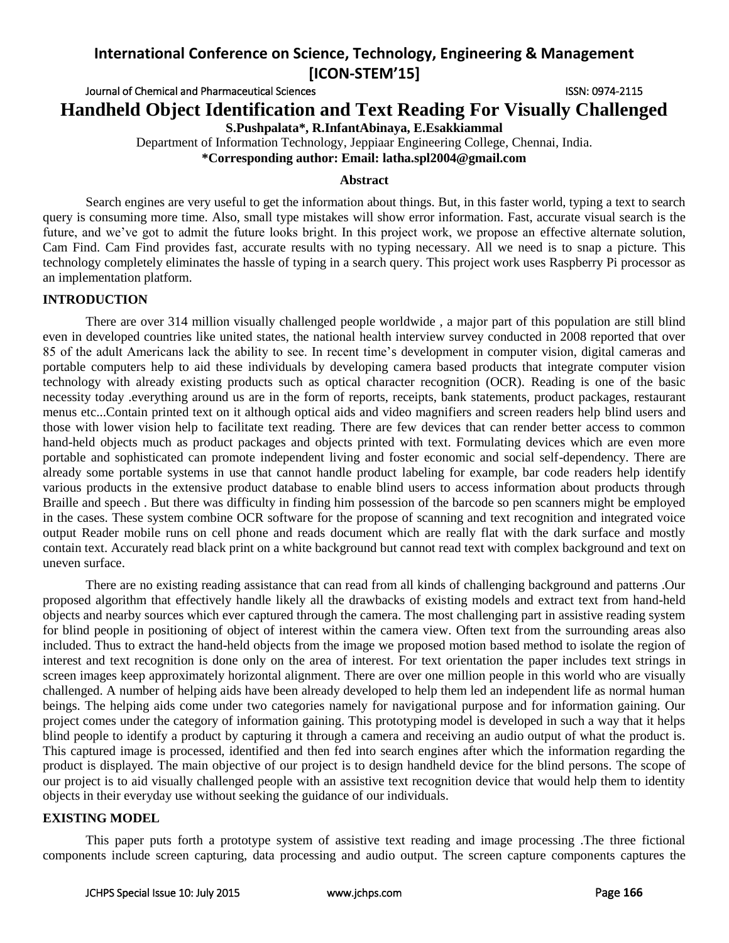Journal of Chemical and Pharmaceutical Sciences ISSN: 0974-2115

**Handheld Object Identification and Text Reading For Visually Challenged**

**S.Pushpalata\*, R.InfantAbinaya, E.Esakkiammal**

Department of Information Technology, Jeppiaar Engineering College, Chennai, India. **\*Corresponding author: Email: latha.spl2004@gmail.com**

## **Abstract**

Search engines are very useful to get the information about things. But, in this faster world, typing a text to search query is consuming more time. Also, small type mistakes will show error information. Fast, accurate visual search is the future, and we've got to admit the future looks bright. In this project work, we propose an effective alternate solution, Cam Find. Cam Find provides fast, accurate results with no typing necessary. All we need is to snap a picture. This technology completely eliminates the hassle of typing in a search query. This project work uses Raspberry Pi processor as an implementation platform.

## **INTRODUCTION**

There are over 314 million visually challenged people worldwide , a major part of this population are still blind even in developed countries like united states, the national health interview survey conducted in 2008 reported that over 85 of the adult Americans lack the ability to see. In recent time's development in computer vision, digital cameras and portable computers help to aid these individuals by developing camera based products that integrate computer vision technology with already existing products such as optical character recognition (OCR). Reading is one of the basic necessity today .everything around us are in the form of reports, receipts, bank statements, product packages, restaurant menus etc...Contain printed text on it although optical aids and video magnifiers and screen readers help blind users and those with lower vision help to facilitate text reading. There are few devices that can render better access to common hand-held objects much as product packages and objects printed with text. Formulating devices which are even more portable and sophisticated can promote independent living and foster economic and social self-dependency. There are already some portable systems in use that cannot handle product labeling for example, bar code readers help identify various products in the extensive product database to enable blind users to access information about products through Braille and speech . But there was difficulty in finding him possession of the barcode so pen scanners might be employed in the cases. These system combine OCR software for the propose of scanning and text recognition and integrated voice output Reader mobile runs on cell phone and reads document which are really flat with the dark surface and mostly contain text. Accurately read black print on a white background but cannot read text with complex background and text on uneven surface.

There are no existing reading assistance that can read from all kinds of challenging background and patterns .Our proposed algorithm that effectively handle likely all the drawbacks of existing models and extract text from hand-held objects and nearby sources which ever captured through the camera. The most challenging part in assistive reading system for blind people in positioning of object of interest within the camera view. Often text from the surrounding areas also included. Thus to extract the hand-held objects from the image we proposed motion based method to isolate the region of interest and text recognition is done only on the area of interest. For text orientation the paper includes text strings in screen images keep approximately horizontal alignment. There are over one million people in this world who are visually challenged. A number of helping aids have been already developed to help them led an independent life as normal human beings. The helping aids come under two categories namely for navigational purpose and for information gaining. Our project comes under the category of information gaining. This prototyping model is developed in such a way that it helps blind people to identify a product by capturing it through a camera and receiving an audio output of what the product is. This captured image is processed, identified and then fed into search engines after which the information regarding the product is displayed. The main objective of our project is to design handheld device for the blind persons. The scope of our project is to aid visually challenged people with an assistive text recognition device that would help them to identity objects in their everyday use without seeking the guidance of our individuals.

## **EXISTING MODEL**

This paper puts forth a prototype system of assistive text reading and image processing .The three fictional components include screen capturing, data processing and audio output. The screen capture components captures the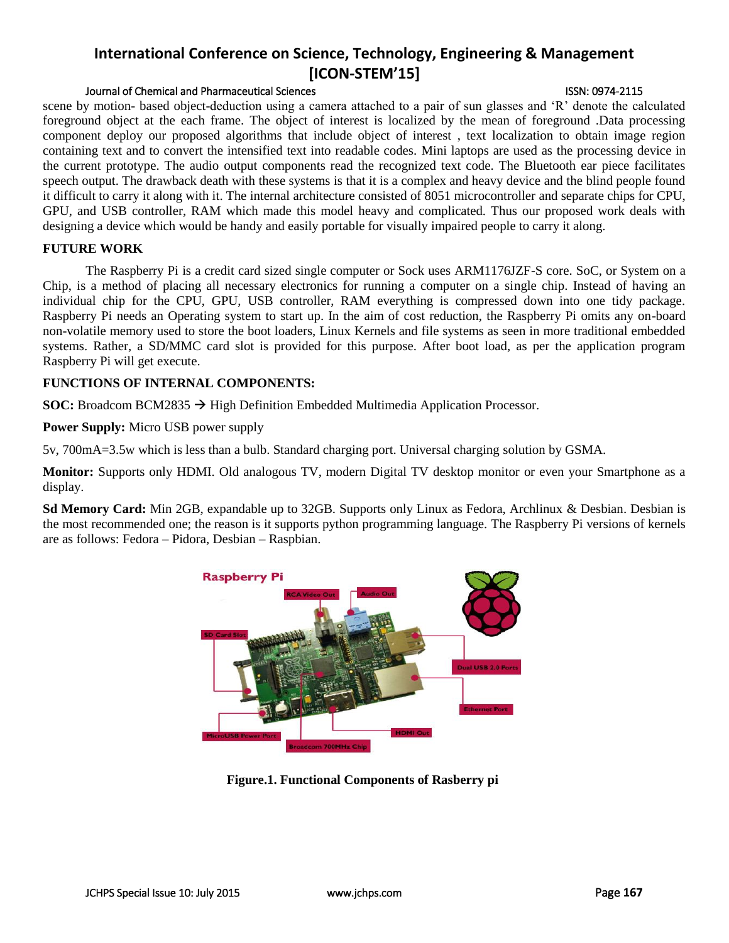## Journal of Chemical and Pharmaceutical Sciences ISSN: 0974-2115

scene by motion- based object-deduction using a camera attached to a pair of sun glasses and 'R' denote the calculated foreground object at the each frame. The object of interest is localized by the mean of foreground .Data processing component deploy our proposed algorithms that include object of interest , text localization to obtain image region containing text and to convert the intensified text into readable codes. Mini laptops are used as the processing device in the current prototype. The audio output components read the recognized text code. The Bluetooth ear piece facilitates speech output. The drawback death with these systems is that it is a complex and heavy device and the blind people found it difficult to carry it along with it. The internal architecture consisted of 8051 microcontroller and separate chips for CPU, GPU, and USB controller, RAM which made this model heavy and complicated. Thus our proposed work deals with designing a device which would be handy and easily portable for visually impaired people to carry it along.

### **FUTURE WORK**

The Raspberry Pi is a credit card sized single computer or Sock uses ARM1176JZF-S core. SoC, or System on a Chip, is a method of placing all necessary electronics for running a computer on a single chip. Instead of having an individual chip for the CPU, GPU, USB controller, RAM everything is compressed down into one tidy package. Raspberry Pi needs an Operating system to start up. In the aim of cost reduction, the Raspberry Pi omits any on-board non-volatile memory used to store the boot loaders, Linux Kernels and file systems as seen in more traditional embedded systems. Rather, a SD/MMC card slot is provided for this purpose. After boot load, as per the application program Raspberry Pi will get execute.

## **FUNCTIONS OF INTERNAL COMPONENTS:**

**SOC:** Broadcom BCM2835 → High Definition Embedded Multimedia Application Processor.

**Power Supply:** Micro USB power supply

5v, 700mA=3.5w which is less than a bulb. Standard charging port. Universal charging solution by GSMA.

**Monitor:** Supports only HDMI. Old analogous TV, modern Digital TV desktop monitor or even your Smartphone as a display.

**Sd Memory Card:** Min 2GB, expandable up to 32GB. Supports only Linux as Fedora, Archlinux & Desbian. Desbian is the most recommended one; the reason is it supports python programming language. The Raspberry Pi versions of kernels are as follows: Fedora – Pidora, Desbian – Raspbian.



**Figure.1. Functional Components of Rasberry pi**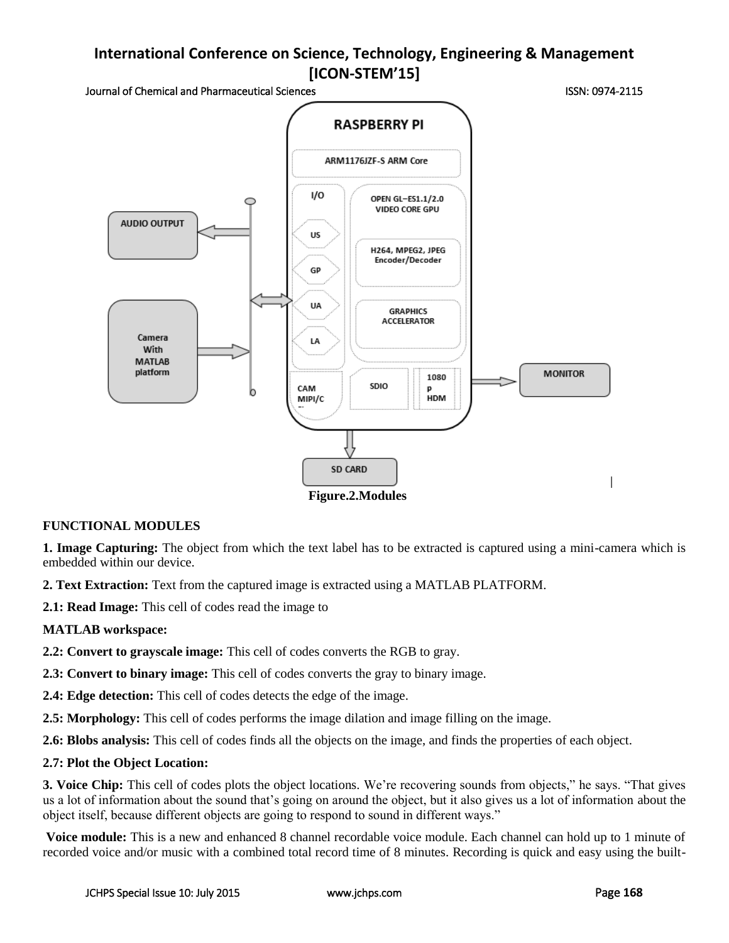Journal of Chemical and Pharmaceutical Sciences ISSN: 0974-2115



**Figure.2.Modules**

## **FUNCTIONAL MODULES**

**1. Image Capturing:** The object from which the text label has to be extracted is captured using a mini-camera which is embedded within our device.

**2. Text Extraction:** Text from the captured image is extracted using a MATLAB PLATFORM.

**2.1: Read Image:** This cell of codes read the image to

## **MATLAB workspace:**

**2.2: Convert to grayscale image:** This cell of codes converts the RGB to gray.

**2.3: Convert to binary image:** This cell of codes converts the gray to binary image.

**2.4: Edge detection:** This cell of codes detects the edge of the image.

**2.5: Morphology:** This cell of codes performs the image dilation and image filling on the image.

**2.6: Blobs analysis:** This cell of codes finds all the objects on the image, and finds the properties of each object.

## **2.7: Plot the Object Location:**

**3. Voice Chip:** This cell of codes plots the object locations. We're recovering sounds from objects," he says. "That gives us a lot of information about the sound that's going on around the object, but it also gives us a lot of information about the object itself, because different objects are going to respond to sound in different ways."

**Voice module:** This is a new and enhanced 8 channel recordable voice module. Each channel can hold up to 1 minute of recorded voice and/or music with a combined total record time of 8 minutes. Recording is quick and easy using the built-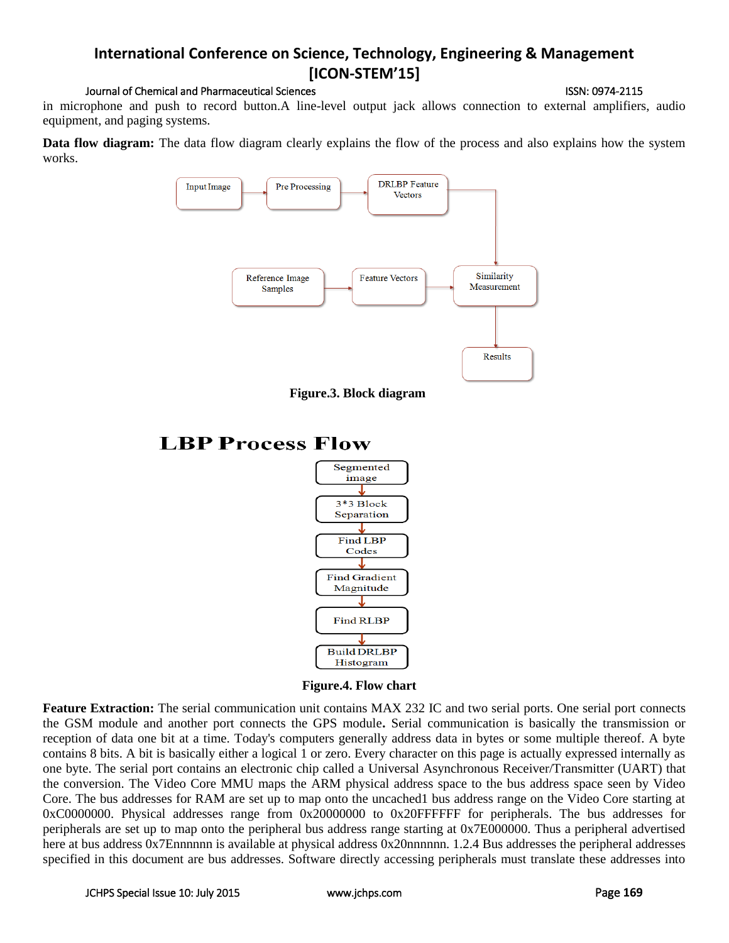## Journal of Chemical and Pharmaceutical Sciences **ISSN: 0974-2115** ISSN: 0974-2115

in microphone and push to record button.A line-level output jack allows connection to external amplifiers, audio equipment, and paging systems.

**Data flow diagram:** The data flow diagram clearly explains the flow of the process and also explains how the system works.









**Feature Extraction:** The serial communication unit contains MAX 232 IC and two serial ports. One serial port connects the GSM module and another port connects the GPS module**.** Serial communication is basically the transmission or reception of data one bit at a time. Today's computers generally address data in bytes or some multiple thereof. A byte contains 8 bits. A bit is basically either a logical 1 or zero. Every character on this page is actually expressed internally as one byte. The serial port contains an electronic chip called a Universal Asynchronous Receiver/Transmitter (UART) that the conversion. The Video Core MMU maps the ARM physical address space to the bus address space seen by Video Core. The bus addresses for RAM are set up to map onto the uncached1 bus address range on the Video Core starting at 0xC0000000. Physical addresses range from 0x20000000 to 0x20FFFFFF for peripherals. The bus addresses for peripherals are set up to map onto the peripheral bus address range starting at 0x7E000000. Thus a peripheral advertised here at bus address 0x7Ennnnnn is available at physical address 0x20nnnnnn. 1.2.4 Bus addresses the peripheral addresses specified in this document are bus addresses. Software directly accessing peripherals must translate these addresses into

# **LBP Process Flow**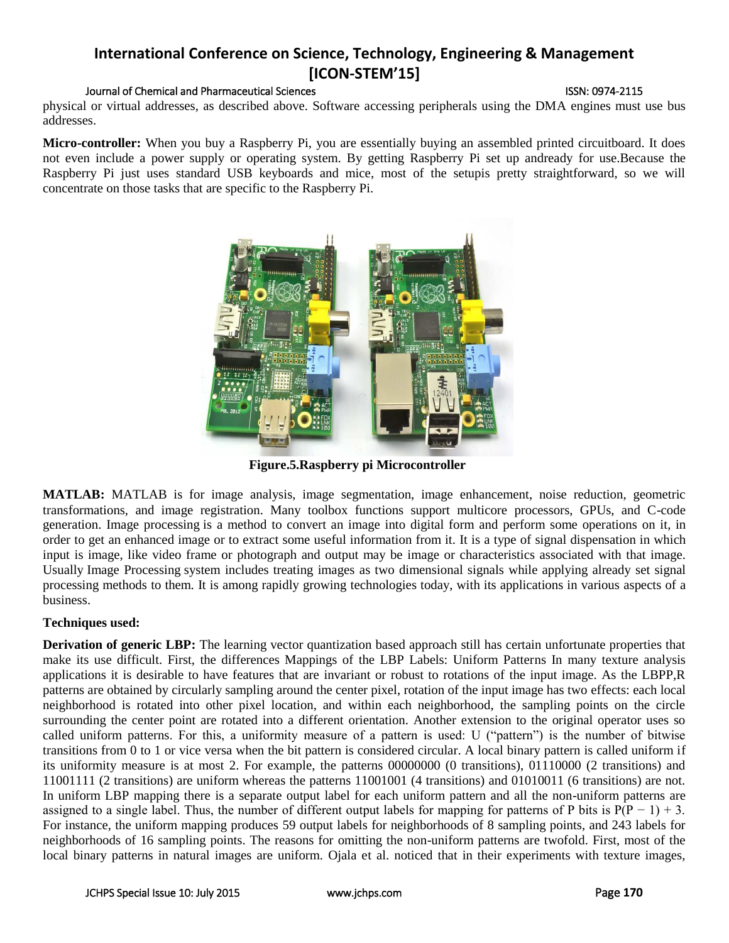### Journal of Chemical and Pharmaceutical Sciences ISSN: 0974-2115

physical or virtual addresses, as described above. Software accessing peripherals using the DMA engines must use bus addresses.

**Micro-controller:** When you buy a Raspberry Pi, you are essentially buying an assembled printed circuitboard. It does not even include a power supply or operating system. By getting Raspberry Pi set up andready for use.Because the Raspberry Pi just uses standard USB keyboards and mice, most of the setupis pretty straightforward, so we will concentrate on those tasks that are specific to the Raspberry Pi.



**Figure.5.Raspberry pi Microcontroller**

**MATLAB:** MATLAB is for image analysis, image segmentation, image enhancement, noise reduction, geometric transformations, and image registration. Many toolbox functions support multicore processors, GPUs, and C-code generation. Image processing is a method to convert an image into digital form and perform some operations on it, in order to get an enhanced image or to extract some useful information from it. It is a type of signal dispensation in which input is image, like video frame or photograph and output may be image or characteristics associated with that image. Usually Image Processing system includes treating images as two dimensional signals while applying already set signal processing methods to them. It is among rapidly growing technologies today, with its applications in various aspects of a business.

## **Techniques used:**

**Derivation of generic LBP:** The learning vector quantization based approach still has certain unfortunate properties that make its use difficult. First, the differences Mappings of the LBP Labels: Uniform Patterns In many texture analysis applications it is desirable to have features that are invariant or robust to rotations of the input image. As the LBPP,R patterns are obtained by circularly sampling around the center pixel, rotation of the input image has two effects: each local neighborhood is rotated into other pixel location, and within each neighborhood, the sampling points on the circle surrounding the center point are rotated into a different orientation. Another extension to the original operator uses so called uniform patterns. For this, a uniformity measure of a pattern is used: U ("pattern") is the number of bitwise transitions from 0 to 1 or vice versa when the bit pattern is considered circular. A local binary pattern is called uniform if its uniformity measure is at most 2. For example, the patterns 00000000 (0 transitions), 01110000 (2 transitions) and 11001111 (2 transitions) are uniform whereas the patterns 11001001 (4 transitions) and 01010011 (6 transitions) are not. In uniform LBP mapping there is a separate output label for each uniform pattern and all the non-uniform patterns are assigned to a single label. Thus, the number of different output labels for mapping for patterns of P bits is  $P(P - 1) + 3$ . For instance, the uniform mapping produces 59 output labels for neighborhoods of 8 sampling points, and 243 labels for neighborhoods of 16 sampling points. The reasons for omitting the non-uniform patterns are twofold. First, most of the local binary patterns in natural images are uniform. Ojala et al. noticed that in their experiments with texture images,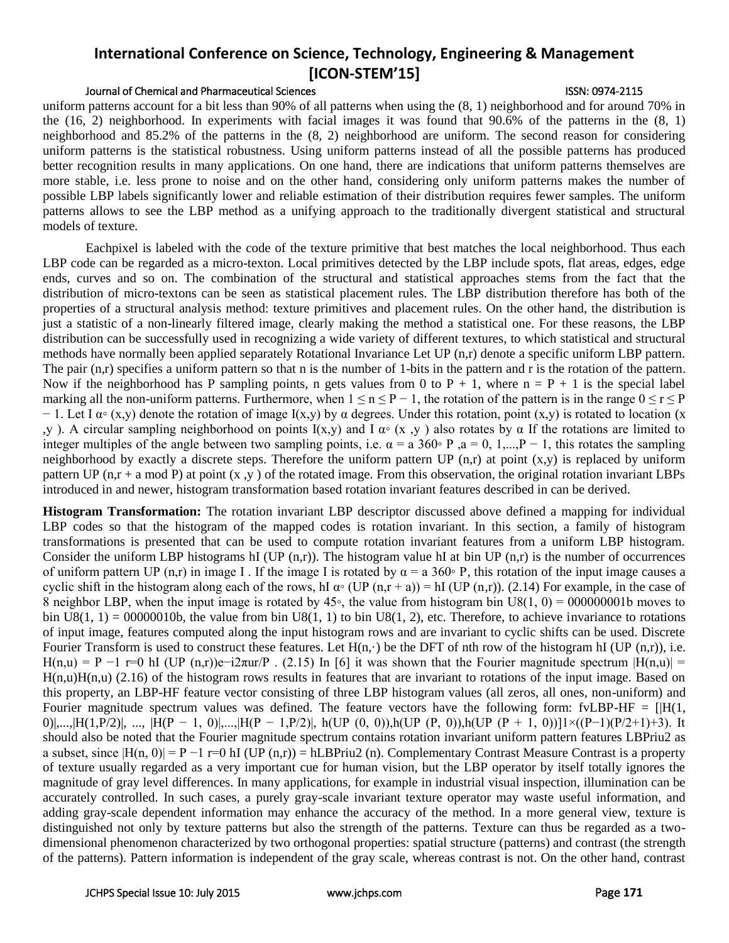## Journal of Chemical and Pharmaceutical Sciences ISSN: 0974-2115

uniform patterns account for a bit less than 90% of all patterns when using the (8, 1) neighborhood and for around 70% in the (16, 2) neighborhood. In experiments with facial images it was found that 90.6% of the patterns in the (8, 1) neighborhood and 85.2% of the patterns in the (8, 2) neighborhood are uniform. The second reason for considering uniform patterns is the statistical robustness. Using uniform patterns instead of all the possible patterns has produced better recognition results in many applications. On one hand, there are indications that uniform patterns themselves are more stable, i.e. less prone to noise and on the other hand, considering only uniform patterns makes the number of possible LBP labels significantly lower and reliable estimation of their distribution requires fewer samples. The uniform patterns allows to see the LBP method as a unifying approach to the traditionally divergent statistical and structural models of texture.

Eachpixel is labeled with the code of the texture primitive that best matches the local neighborhood. Thus each LBP code can be regarded as a micro-texton. Local primitives detected by the LBP include spots, flat areas, edges, edge ends, curves and so on. The combination of the structural and statistical approaches stems from the fact that the distribution of micro-textons can be seen as statistical placement rules. The LBP distribution therefore has both of the properties of a structural analysis method: texture primitives and placement rules. On the other hand, the distribution is just a statistic of a non-linearly filtered image, clearly making the method a statistical one. For these reasons, the LBP distribution can be successfully used in recognizing a wide variety of different textures, to which statistical and structural methods have normally been applied separately Rotational Invariance Let UP (n,r) denote a specific uniform LBP pattern. The pair  $(n,r)$  specifies a uniform pattern so that n is the number of 1-bits in the pattern and r is the rotation of the pattern. Now if the neighborhood has P sampling points, n gets values from 0 to  $P + 1$ , where  $n = P + 1$  is the special label marking all the non-uniform patterns. Furthermore, when  $1 \le n \le P - 1$ , the rotation of the pattern is in the range  $0 \le r \le P$  $-1$ . Let I  $\alpha$ ° (x,y) denote the rotation of image I(x,y) by  $\alpha$  degrees. Under this rotation, point (x,y) is rotated to location (x ,y ). A circular sampling neighborhood on points  $I(x,y)$  and  $I \alpha<sup>°</sup>$  (x,y) also rotates by  $\alpha$  If the rotations are limited to integer multiples of the angle between two sampling points, i.e.  $\alpha = a \, 360^\circ \, P$ ,  $a = 0, 1,...,P-1$ , this rotates the sampling neighborhood by exactly a discrete steps. Therefore the uniform pattern UP  $(n,r)$  at point  $(x,y)$  is replaced by uniform pattern UP  $(n,r + a \mod P)$  at point  $(x, y)$  of the rotated image. From this observation, the original rotation invariant LBPs introduced in and newer, histogram transformation based rotation invariant features described in can be derived.

**Histogram Transformation:** The rotation invariant LBP descriptor discussed above defined a mapping for individual LBP codes so that the histogram of the mapped codes is rotation invariant. In this section, a family of histogram transformations is presented that can be used to compute rotation invariant features from a uniform LBP histogram. Consider the uniform LBP histograms hI (UP  $(n,r)$ ). The histogram value hI at bin UP  $(n,r)$  is the number of occurrences of uniform pattern UP (n,r) in image I. If the image I is rotated by  $\alpha = a \cdot 360\degree$  P, this rotation of the input image causes a cyclic shift in the histogram along each of the rows, hI  $\alpha \circ (UP(n,r+a)) = hI(UP(n,r))$ . (2.14) For example, in the case of 8 neighbor LBP, when the input image is rotated by  $45<sup>$  $$\degree$ *,* the value from histogram bin U8(1, 0) = 000000001b moves to</sup>$ bin  $US(1, 1) = 00000010$ b, the value from bin U8(1, 1) to bin U8(1, 2), etc. Therefore, to achieve invariance to rotations of input image, features computed along the input histogram rows and are invariant to cyclic shifts can be used. Discrete Fourier Transform is used to construct these features. Let  $H(n, \cdot)$  be the DFT of nth row of the histogram hI (UP (n,r)), i.e. H(n,u) = P −1 r=0 hI (UP (n,r))e-i2 $\pi$ ur/P . (2.15) In [6] it was shown that the Fourier magnitude spectrum  $|H(n,u)| =$  $H(n,u)H(n,u)$  (2.16) of the histogram rows results in features that are invariant to rotations of the input image. Based on this property, an LBP-HF feature vector consisting of three LBP histogram values (all zeros, all ones, non-uniform) and Fourier magnitude spectrum values was defined. The feature vectors have the following form: fvLBP-HF =  $[|H(1, \cdot)|]$ 0)|,...,|H(1,P/2)|, ..., |H(P − 1, 0)|,...,|H(P − 1,P/2)|, h(UP (0, 0)),h(UP (P, 0)),h(UP (P + 1, 0))]1×((P-1)(P/2+1)+3). It should also be noted that the Fourier magnitude spectrum contains rotation invariant uniform pattern features LBPriu2 as a subset, since  $|H(n, 0)| = P -1$  r=0 hI (UP  $(n,r)$ ) = hLBPriu2 (n). Complementary Contrast Measure Contrast is a property of texture usually regarded as a very important cue for human vision, but the LBP operator by itself totally ignores the magnitude of gray level differences. In many applications, for example in industrial visual inspection, illumination can be accurately controlled. In such cases, a purely gray-scale invariant texture operator may waste useful information, and adding gray-scale dependent information may enhance the accuracy of the method. In a more general view, texture is distinguished not only by texture patterns but also the strength of the patterns. Texture can thus be regarded as a twodimensional phenomenon characterized by two orthogonal properties: spatial structure (patterns) and contrast (the strength of the patterns). Pattern information is independent of the gray scale, whereas contrast is not. On the other hand, contrast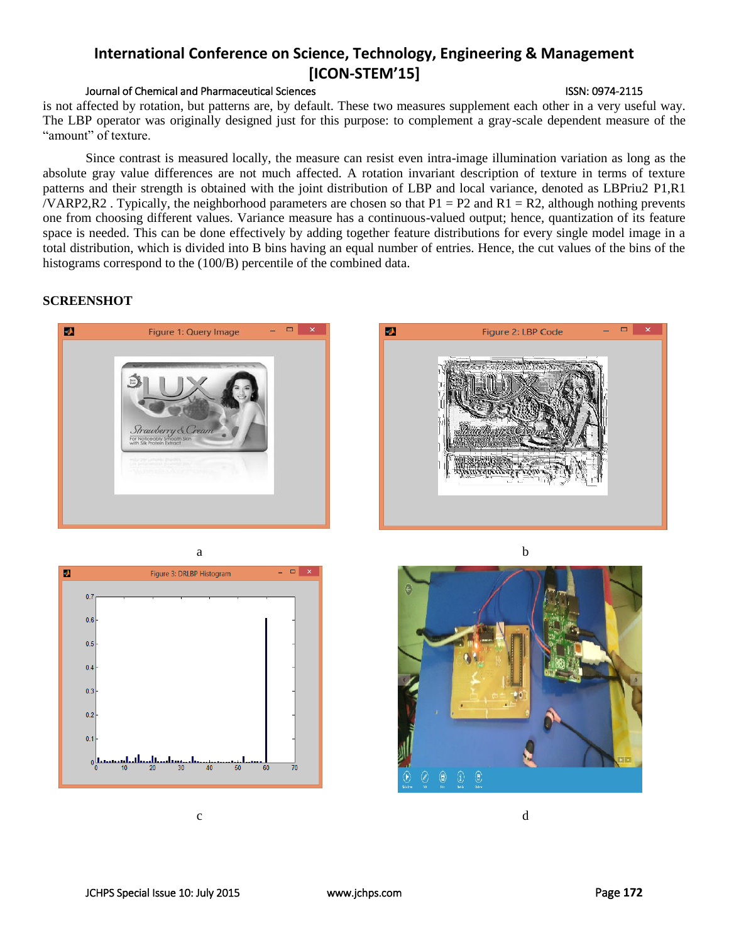## Journal of Chemical and Pharmaceutical Sciences ISSN: 0974-2115

is not affected by rotation, but patterns are, by default. These two measures supplement each other in a very useful way. The LBP operator was originally designed just for this purpose: to complement a gray-scale dependent measure of the "amount" of texture.

Since contrast is measured locally, the measure can resist even intra-image illumination variation as long as the absolute gray value differences are not much affected. A rotation invariant description of texture in terms of texture patterns and their strength is obtained with the joint distribution of LBP and local variance, denoted as LBPriu2 P1,R1 /VARP2,R2. Typically, the neighborhood parameters are chosen so that  $P1 = P2$  and  $R1 = R2$ , although nothing prevents one from choosing different values. Variance measure has a continuous-valued output; hence, quantization of its feature space is needed. This can be done effectively by adding together feature distributions for every single model image in a total distribution, which is divided into B bins having an equal number of entries. Hence, the cut values of the bins of the histograms correspond to the (100/B) percentile of the combined data.

### **SCREENSHOT**







c d